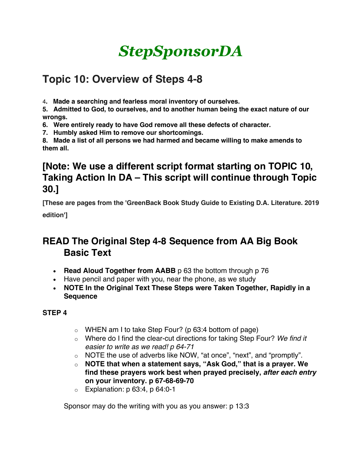# *StepSponsorDA*

# **Topic 10: Overview of Steps 4-8**

4**. Made a searching and fearless moral inventory of ourselves.** 

**5. Admitted to God, to ourselves, and to another human being the exact nature of our wrongs.** 

**6. Were entirely ready to have God remove all these defects of character.** 

**7. Humbly asked Him to remove our shortcomings.** 

**8. Made a list of all persons we had harmed and became willing to make amends to them all.** 

# **[Note: We use a different script format starting on TOPIC 10, Taking Action In DA – This script will continue through Topic 30.]**

**[These are pages from the 'GreenBack Book Study Guide to Existing D.A. Literature. 2019 edition']**

### **READ The Original Step 4-8 Sequence from AA Big Book Basic Text**

- **Read Aloud Together from AABB** p 63 the bottom through p 76
- Have pencil and paper with you, near the phone, as we study
- **NOTE In the Original Text These Steps were Taken Together, Rapidly in a Sequence**

### **STEP 4**

- $\circ$  WHEN am I to take Step Four? (p 63:4 bottom of page)
- o Where do I find the clear-cut directions for taking Step Four? *We find it easier to write as we read! p 64-71*
- o NOTE the use of adverbs like NOW, "at once", "next", and "promptly".
- o **NOTE that when a statement says, "Ask God," that is a prayer. We find these prayers work best when prayed precisely,** *after each entry* **on your inventory. p 67-68-69-70**
- $\circ$  Explanation: p 63:4, p 64:0-1

Sponsor may do the writing with you as you answer: p 13:3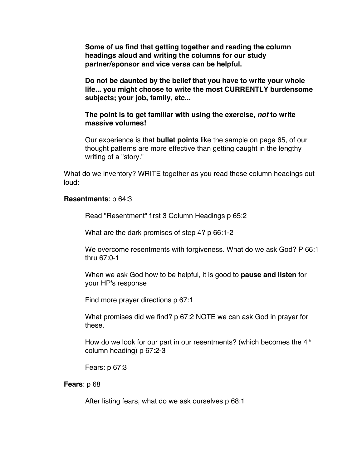**Some of us find that getting together and reading the column headings aloud and writing the columns for our study partner/sponsor and vice versa can be helpful.**

**Do not be daunted by the belief that you have to write your whole life... you might choose to write the most CURRENTLY burdensome subjects; your job, family, etc...**

### **The point is to get familiar with using the exercise,** *not* **to write massive volumes!**

Our experience is that **bullet points** like the sample on page 65, of our thought patterns are more effective than getting caught in the lengthy writing of a "story."

What do we inventory? WRITE together as you read these column headings out loud:

#### **Resentments**: p 64:3

Read "Resentment" first 3 Column Headings p 65:2

What are the dark promises of step 4? p 66:1-2

We overcome resentments with forgiveness. What do we ask God? P 66:1 thru 67:0-1

When we ask God how to be helpful, it is good to **pause and listen** for your HP's response

Find more prayer directions p 67:1

What promises did we find? p 67:2 NOTE we can ask God in prayer for these.

How do we look for our part in our resentments? (which becomes the  $4<sup>th</sup>$ column heading) p 67:2-3

Fears: p 67:3

#### **Fears**: p 68

After listing fears, what do we ask ourselves p 68:1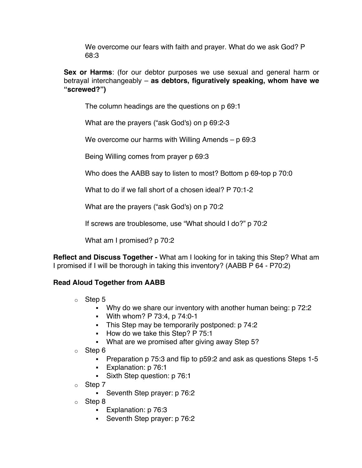We overcome our fears with faith and prayer. What do we ask God? P 68:3

**Sex or Harms**: (for our debtor purposes we use sexual and general harm or betrayal interchangeably – **as debtors, figuratively speaking, whom have we "screwed?")**

The column headings are the questions on p 69:1

What are the prayers ("ask God's) on p 69:2-3

We overcome our harms with Willing Amends – p 69:3

Being Willing comes from prayer p 69:3

Who does the AABB say to listen to most? Bottom p 69-top p 70:0

What to do if we fall short of a chosen ideal? P 70:1-2

What are the prayers ("ask God's) on p 70:2

If screws are troublesome, use "What should I do?" p 70:2

What am I promised? p 70:2

**Reflect and Discuss Together -** What am I looking for in taking this Step? What am I promised if I will be thorough in taking this inventory? (AABB P 64 - P70:2)

### **Read Aloud Together from AABB**

- o Step 5
	- Why do we share our inventory with another human being: p 72:2
	- § With whom? P 73:4, p 74:0-1
	- This Step may be temporarily postponed: p 74:2
	- How do we take this Step? P 75:1
	- What are we promised after giving away Step 5?
- o Step 6
	- Preparation p 75:3 and flip to p59:2 and ask as questions Steps 1-5
	- § Explanation: p 76:1
	- Sixth Step question: p 76:1
- o Step 7
	- Seventh Step prayer: p 76:2
- o Step 8
	- Explanation: p 76:3
	- Seventh Step prayer: p 76:2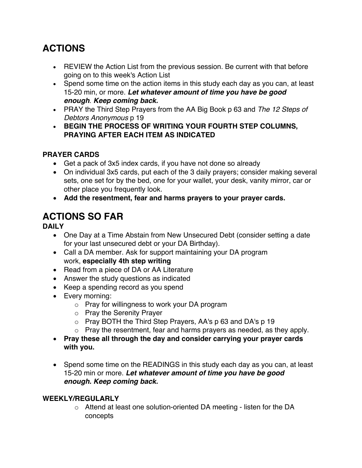# **ACTIONS**

- REVIEW the Action List from the previous session. Be current with that before going on to this week's Action List
- Spend some time on the action items in this study each day as you can, at least 15-20 min, or more. *Let whatever amount of time you have be good enough*. *Keep coming back.*
- PRAY the Third Step Prayers from the AA Big Book p 63 and *The 12 Steps of Debtors Anonymous* p 19
- **BEGIN THE PROCESS OF WRITING YOUR FOURTH STEP COLUMNS, PRAYING AFTER EACH ITEM AS INDICATED**

### **PRAYER CARDS**

- Get a pack of 3x5 index cards, if you have not done so already
- On individual 3x5 cards, put each of the 3 daily prayers; consider making several sets, one set for by the bed, one for your wallet, your desk, vanity mirror, car or other place you frequently look.
- **Add the resentment, fear and harms prayers to your prayer cards.**

# **ACTIONS SO FAR**

**DAILY**

- One Day at a Time Abstain from New Unsecured Debt (consider setting a date for your last unsecured debt or your DA Birthday).
- Call a DA member. Ask for support maintaining your DA program work, **especially 4th step writing**
- Read from a piece of DA or AA Literature
- Answer the study questions as indicated
- Keep a spending record as you spend
- Every morning:
	- o Pray for willingness to work your DA program
	- o Pray the Serenity Prayer
	- o Pray BOTH the Third Step Prayers, AA's p 63 and DA's p 19
	- o Pray the resentment, fear and harms prayers as needed, as they apply.
- **Pray these all through the day and consider carrying your prayer cards with you.**
- Spend some time on the READINGS in this study each day as you can, at least 15-20 min or more. *Let whatever amount of time you have be good enough. Keep coming back.*

### **WEEKLY/REGULARLY**

o Attend at least one solution-oriented DA meeting - listen for the DA concepts